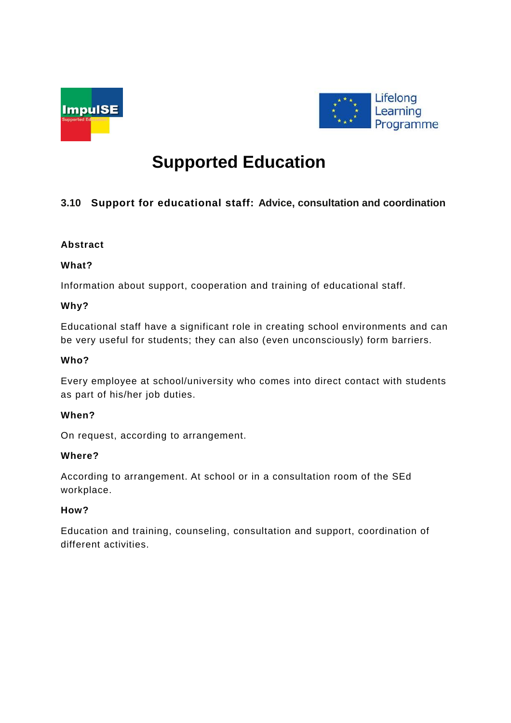



# **Supported Education**

## **3.10 Support for educational staff: Advice, consultation and coordination**

## **Abstract**

## **What?**

Information about support, cooperation and training of educational staff.

## **Why?**

Educational staff have a significant role in creating school environments and can be very useful for students; they can also (even unconsciously) form barriers.

## **Who?**

Every employee at school/university who comes into direct contact with students as part of his/her job duties.

## **When?**

On request, according to arrangement.

#### **Where?**

According to arrangement. At school or in a consultation room of the SEd workplace.

#### **How?**

Education and training, counseling, consultation and support, coordination of different activities.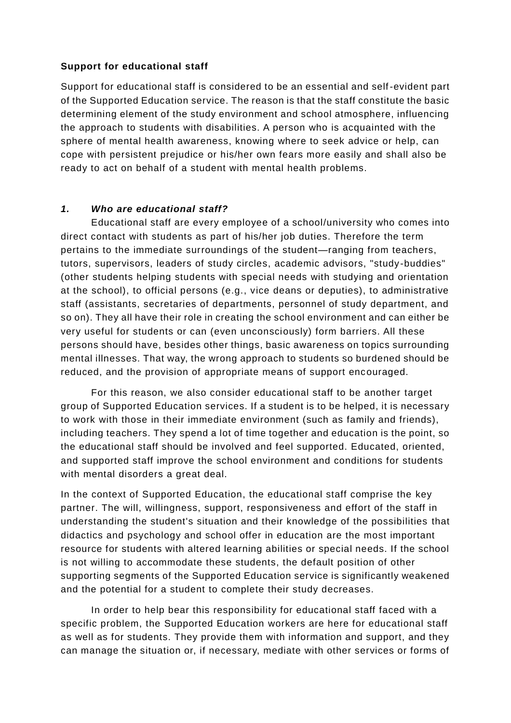#### **Support for educational staff**

Support for educational staff is considered to be an essential and self-evident part of the Supported Education service. The reason is that the staff constitute the basic determining element of the study environment and school atmosphere, influencing the approach to students with disabilities. A person who is acquainted with the sphere of mental health awareness, knowing where to seek advice or help, can cope with persistent prejudice or his/her own fears more easily and shall also be ready to act on behalf of a student with mental health problems.

#### *1. Who are educational staff?*

Educational staff are every employee of a school/university who comes into direct contact with students as part of his/her job duties. Therefore the term pertains to the immediate surroundings of the student—ranging from teachers, tutors, supervisors, leaders of study circles, academic advisors, "study -buddies" (other students helping students with special needs with studying and orientation at the school), to official persons (e.g., vice deans or deputies), to administrative staff (assistants, secretaries of departments, personnel of study department, and so on). They all have their role in creating the school environment and can either be very useful for students or can (even unconsciously) form barriers. All these persons should have, besides other things, basic awareness on topics surrounding mental illnesses. That way, the wrong approach to students so burdened should be reduced, and the provision of appropriate means of support encouraged.

For this reason, we also consider educational staff to be another target group of Supported Education services. If a student is to be helped, it is necessary to work with those in their immediate environment (such as family and friends), including teachers. They spend a lot of time together and education is the point, so the educational staff should be involved and feel supported. Educated, oriented, and supported staff improve the school environment and conditions for students with mental disorders a great deal.

In the context of Supported Education, the educational staff comprise the key partner. The will, willingness, support, responsiveness and effort of the staff in understanding the student's situation and their knowledge of the possibilities that didactics and psychology and school offer in education are the most important resource for students with altered learning abilities or special needs. If the school is not willing to accommodate these students, the default position of other supporting segments of the Supported Education service is significantly weakened and the potential for a student to complete their study decreases.

In order to help bear this responsibility for educational staff faced with a specific problem, the Supported Education workers are here for educational staff as well as for students. They provide them with information and support, and they can manage the situation or, if necessary, mediate with other services or forms of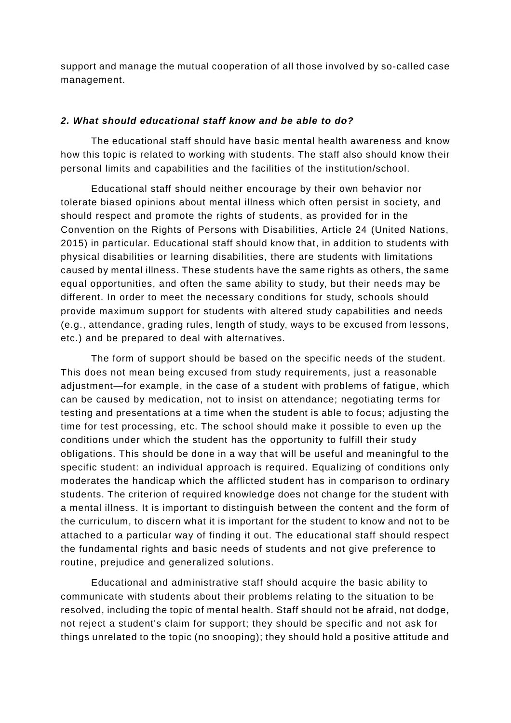support and manage the mutual cooperation of all those involved by so-called case management.

#### *2. What should educational staff know and be able to do?*

The educational staff should have basic mental health awareness and know how this topic is related to working with students. The staff also should know th eir personal limits and capabilities and the facilities of the institution/school.

Educational staff should neither encourage by their own behavior nor tolerate biased opinions about mental illness which often persist in society, and should respect and promote the rights of students, as provided for in the Convention on the Rights of Persons with Disabilities, Article 24 (United Nations, 2015) in particular. Educational staff should know that, in addition to students with physical disabilities or learning disabilities, there are students with limitations caused by mental illness. These students have the same rights as others, the same equal opportunities, and often the same ability to study, but their needs may be different. In order to meet the necessary conditions for study, schools should provide maximum support for students with altered study capabilities and needs (e.g., attendance, grading rules, length of study, ways to be excused from lessons, etc.) and be prepared to deal with alternatives.

The form of support should be based on the specific needs of the student. This does not mean being excused from study requirements, just a reasonable adjustment—for example, in the case of a student with problems of fatigue, which can be caused by medication, not to insist on attendance; negotiating terms for testing and presentations at a time when the student is able to focus; adjusting the time for test processing, etc. The school should make it possible to even up the conditions under which the student has the opportunity to fulfill their study obligations. This should be done in a way that will be useful and meaningful to the specific student: an individual approach is required. Equalizing of conditions only moderates the handicap which the afflicted student has in comparison to ordinary students. The criterion of required knowledge does not change for the student with a mental illness. It is important to distinguish between the content and the form of the curriculum, to discern what it is important for the student to know and not to be attached to a particular way of finding it out. The educational staff should respect the fundamental rights and basic needs of students and not give preference to routine, prejudice and generalized solutions.

Educational and administrative staff should acquire the basic ability to communicate with students about their problems relating to the situation to be resolved, including the topic of mental health. Staff should not be afraid, not dodge, not reject a student's claim for support; they should be specific and not ask for things unrelated to the topic (no snooping); they should hold a positive attitude and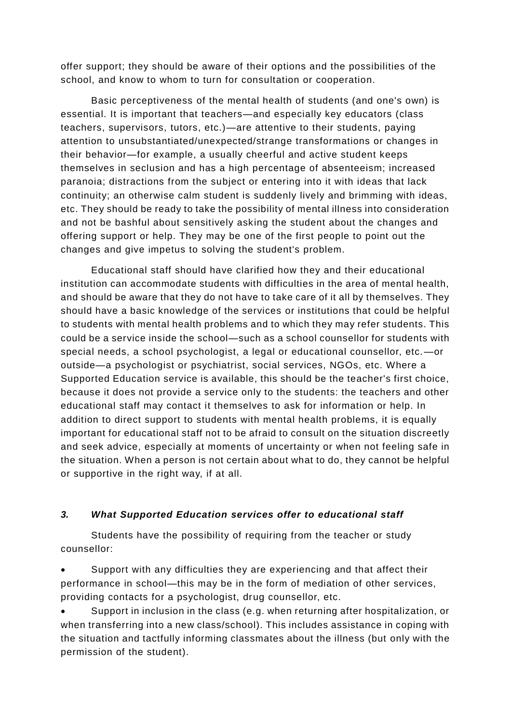offer support; they should be aware of their options and the possibilities of the school, and know to whom to turn for consultation or cooperation.

Basic perceptiveness of the mental health of students (and one's own) is essential. It is important that teachers—and especially key educators (class teachers, supervisors, tutors, etc.)—are attentive to their students, paying attention to unsubstantiated/unexpected/strange transformations or changes in their behavior—for example, a usually cheerful and active student keeps themselves in seclusion and has a high percentage of absenteeism; increased paranoia; distractions from the subject or entering into it with ideas that lack continuity; an otherwise calm student is suddenly lively and brimming with ideas, etc. They should be ready to take the possibility of mental illness into consideration and not be bashful about sensitively asking the student about the changes and offering support or help. They may be one of the first people to point out the changes and give impetus to solving the student's problem.

Educational staff should have clarified how they and their educational institution can accommodate students with difficulties in the area of mental health, and should be aware that they do not have to take care of it all by themselves. They should have a basic knowledge of the services or institutions that could be helpful to students with mental health problems and to which they may refer students. This could be a service inside the school—such as a school counsellor for students with special needs, a school psychologist, a legal or educational counsellor, etc.—or outside—a psychologist or psychiatrist, social services, NGOs, etc. Where a Supported Education service is available, this should be the teacher's first choice, because it does not provide a service only to the students: the teachers and other educational staff may contact it themselves to ask for information or help. In addition to direct support to students with mental health problems, it is equally important for educational staff not to be afraid to consult on the situation discreetly and seek advice, especially at moments of uncertainty or when not feeling safe in the situation. When a person is not certain about what to do, they cannot be helpful or supportive in the right way, if at all.

## *3. What Supported Education services offer to educational staff*

Students have the possibility of requiring from the teacher or study counsellor:

 Support with any difficulties they are experiencing and that affect their performance in school—this may be in the form of mediation of other services, providing contacts for a psychologist, drug counsellor, etc.

 Support in inclusion in the class (e.g. when returning after hospitalization, or when transferring into a new class/school). This includes assistance in coping with the situation and tactfully informing classmates about the illness (but only with the permission of the student).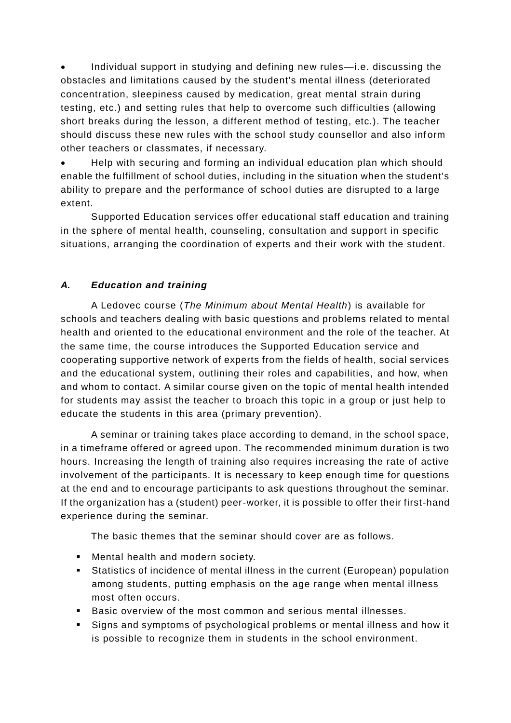Individual support in studying and defining new rules—i.e. discussing the obstacles and limitations caused by the student's mental illness (deteriorated concentration, sleepiness caused by medication, great mental strain during testing, etc.) and setting rules that help to overcome such difficulties (allowing short breaks during the lesson, a different method of testing, etc.). The teacher should discuss these new rules with the school study counsellor and also inform other teachers or classmates, if necessary.

 Help with securing and forming an individual education plan which should enable the fulfillment of school duties, including in the situation when the student's ability to prepare and the performance of school duties are disrupted to a large extent.

Supported Education services offer educational staff education and training in the sphere of mental health, counseling, consultation and support in specific situations, arranging the coordination of experts and their work with the student.

## *A. Education and training*

A Ledovec course (*The Minimum about Mental Health*) is available for schools and teachers dealing with basic questions and problems related to mental health and oriented to the educational environment and the role of the teacher. At the same time, the course introduces the Supported Education service and cooperating supportive network of experts from the fields of health, social services and the educational system, outlining their roles and capabilities, and how, when and whom to contact. A similar course given on the topic of mental health intended for students may assist the teacher to broach this topic in a group or just help to educate the students in this area (primary prevention).

A seminar or training takes place according to demand, in the school space, in a timeframe offered or agreed upon. The recommended minimum duration is two hours. Increasing the length of training also requires increasing the rate of active involvement of the participants. It is necessary to keep enough time for questions at the end and to encourage participants to ask questions throughout the seminar. If the organization has a (student) peer-worker, it is possible to offer their first-hand experience during the seminar.

The basic themes that the seminar should cover are as follows.

- **Mental health and modern society.**
- Statistics of incidence of mental illness in the current (European) population among students, putting emphasis on the age range when mental illness most often occurs.
- Basic overview of the most common and serious mental illnesses.
- Signs and symptoms of psychological problems or mental illness and how it is possible to recognize them in students in the school environment.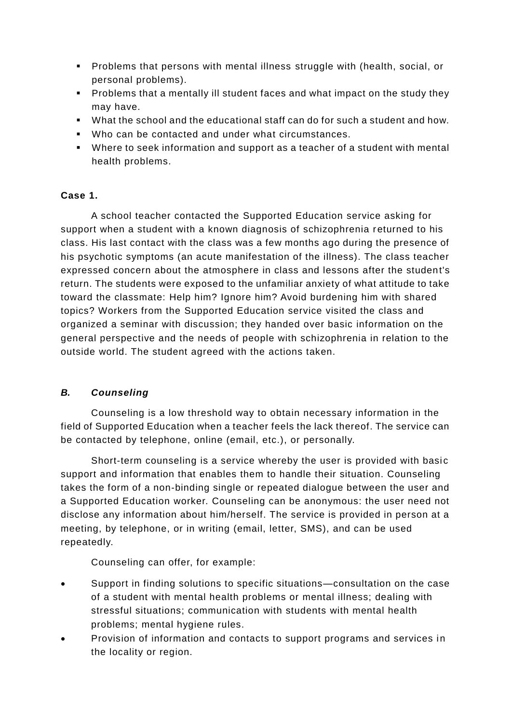- Problems that persons with mental illness struggle with (health, social, or personal problems).
- **Problems that a mentally ill student faces and what impact on the study they** may have.
- What the school and the educational staff can do for such a student and how.
- Who can be contacted and under what circumstances.
- Where to seek information and support as a teacher of a student with mental health problems.

## **Case 1.**

A school teacher contacted the Supported Education service asking for support when a student with a known diagnosis of schizophrenia returned to his class. His last contact with the class was a few months ago during the presence of his psychotic symptoms (an acute manifestation of the illness). The class teacher expressed concern about the atmosphere in class and lessons after the student's return. The students were exposed to the unfamiliar anxiety of what attitude to take toward the classmate: Help him? Ignore him? Avoid burdening him with shared topics? Workers from the Supported Education service visited the class and organized a seminar with discussion; they handed over basic information on the general perspective and the needs of people with schizophrenia in relation to the outside world. The student agreed with the actions taken.

## *B. Counseling*

Counseling is a low threshold way to obtain necessary information in the field of Supported Education when a teacher feels the lack thereof. The service can be contacted by telephone, online (email, etc.), or personally.

Short-term counseling is a service whereby the user is provided with basic support and information that enables them to handle their situation. Counseling takes the form of a non-binding single or repeated dialogue between the user and a Supported Education worker. Counseling can be anonymous: the user need not disclose any information about him/herself. The service is provided in person at a meeting, by telephone, or in writing (email, letter, SMS), and can be used repeatedly.

Counseling can offer, for example:

- Support in finding solutions to specific situations—consultation on the case of a student with mental health problems or mental illness; dealing with stressful situations; communication with students with mental health problems; mental hygiene rules.
- Provision of information and contacts to support programs and services in the locality or region.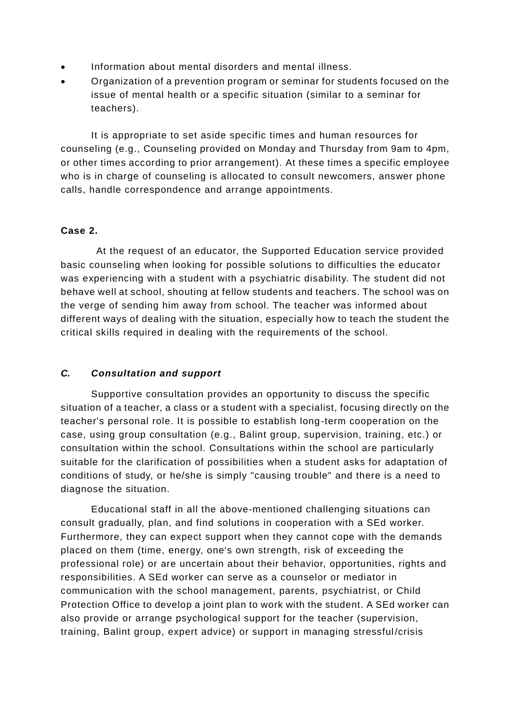- Information about mental disorders and mental illness.
- Organization of a prevention program or seminar for students focused on the issue of mental health or a specific situation (similar to a seminar for teachers).

It is appropriate to set aside specific times and human resources for counseling (e.g., Counseling provided on Monday and Thursday from 9am to 4pm, or other times according to prior arrangement). At these times a specific employee who is in charge of counseling is allocated to consult newcomers, answer phone calls, handle correspondence and arrange appointments.

#### **Case 2.**

At the request of an educator, the Supported Education service provided basic counseling when looking for possible solutions to difficulties the educator was experiencing with a student with a psychiatric disability. The student did not behave well at school, shouting at fellow students and teachers. The school was on the verge of sending him away from school. The teacher was informed about different ways of dealing with the situation, especially how to teach the student the critical skills required in dealing with the requirements of the school.

#### *C. Consultation and support*

Supportive consultation provides an opportunity to discuss the specific situation of a teacher, a class or a student with a specialist, focusing directly on the teacher's personal role. It is possible to establish long-term cooperation on the case, using group consultation (e.g., Balint group, supervision, training, etc.) or consultation within the school. Consultations within the school are particularly suitable for the clarification of possibilities when a student asks for adaptation of conditions of study, or he/she is simply "causing trouble" and there is a need to diagnose the situation.

Educational staff in all the above-mentioned challenging situations can consult gradually, plan, and find solutions in cooperation with a SEd worker. Furthermore, they can expect support when they cannot cope with the demands placed on them (time, energy, one's own strength, risk of exceeding the professional role) or are uncertain about their behavior, opportunities, rights and responsibilities. A SEd worker can serve as a counselor or mediator in communication with the school management, parents, psychiatrist, or Child Protection Office to develop a joint plan to work with the student. A SEd worker can also provide or arrange psychological support for the teacher (supervision, training, Balint group, expert advice) or support in managing stressful/crisis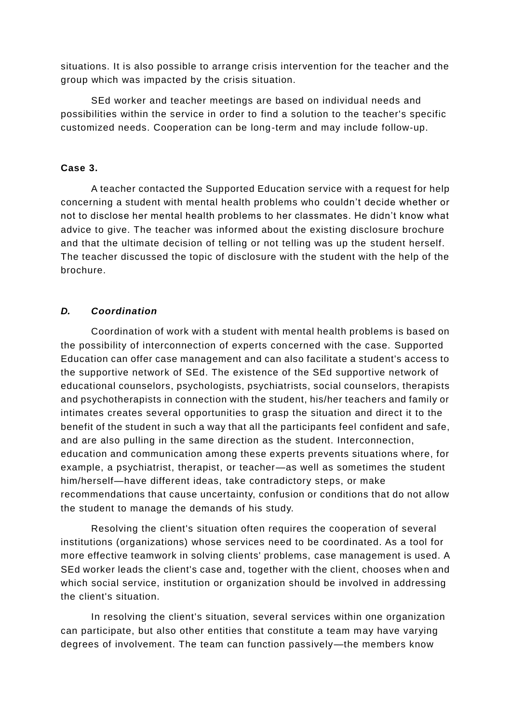situations. It is also possible to arrange crisis intervention for the teacher and the group which was impacted by the crisis situation.

SEd worker and teacher meetings are based on individual needs and possibilities within the service in order to find a solution to the teacher's specific customized needs. Cooperation can be long-term and may include follow-up.

## **Case 3.**

A teacher contacted the Supported Education service with a request for help concerning a student with mental health problems who couldn't decide whether or not to disclose her mental health problems to her classmates. He didn't know what advice to give. The teacher was informed about the existing disclosure brochure and that the ultimate decision of telling or not telling was up the student herself. The teacher discussed the topic of disclosure with the student with the help of the brochure.

## *D. Coordination*

Coordination of work with a student with mental health problems is based on the possibility of interconnection of experts concerned with the case. Supported Education can offer case management and can also facilitate a student's access to the supportive network of SEd. The existence of the SEd supportive network of educational counselors, psychologists, psychiatrists, social counselors, therapists and psychotherapists in connection with the student, his/her teachers and family or intimates creates several opportunities to grasp the situation and direct it to the benefit of the student in such a way that all the participants feel confident and safe, and are also pulling in the same direction as the student. Interconnection, education and communication among these experts prevents situations where, for example, a psychiatrist, therapist, or teacher—as well as sometimes the student him/herself—have different ideas, take contradictory steps, or make recommendations that cause uncertainty, confusion or conditions that do not allow the student to manage the demands of his study.

Resolving the client's situation often requires the cooperation of several institutions (organizations) whose services need to be coordinated. As a tool for more effective teamwork in solving clients' problems, case management is used. A SEd worker leads the client's case and, together with the client, chooses when and which social service, institution or organization should be involved in addressing the client's situation.

In resolving the client's situation, several services within one organization can participate, but also other entities that constitute a team may have varying degrees of involvement. The team can function passively—the members know